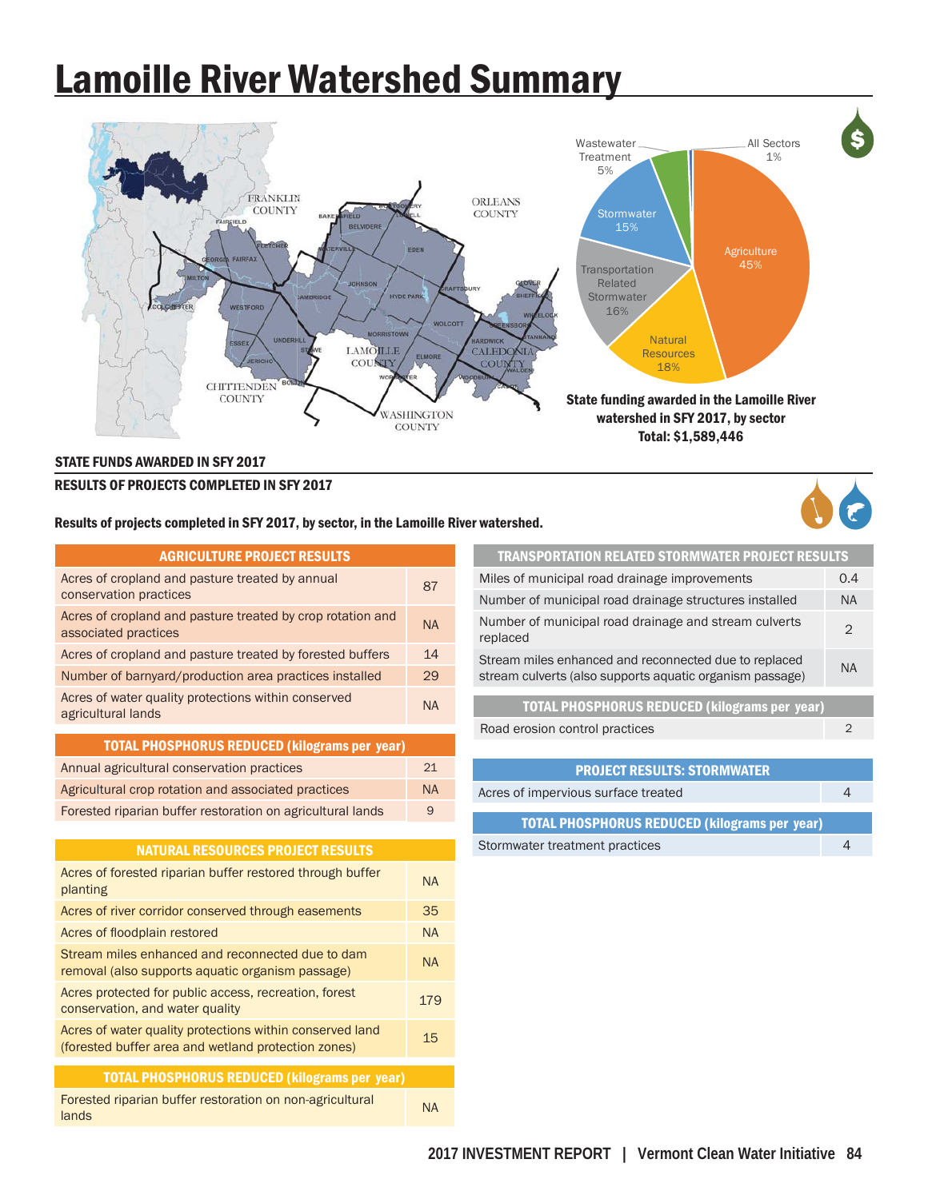## Lamoille River Watershed Summary



## STATE FUNDS AWARDED IN SFY 2017

## RESULTS OF PROJECTS COMPLETED IN SFY 2017

Results of projects completed in SFY 2017, by sector, in the Lamoille River watershed.



| <b>AGRICULTURE PROJECT RESULTS</b>                                                                              |           |
|-----------------------------------------------------------------------------------------------------------------|-----------|
| Acres of cropland and pasture treated by annual<br>conservation practices                                       | 87        |
| Acres of cropland and pasture treated by crop rotation and<br>associated practices                              | <b>NA</b> |
| Acres of cropland and pasture treated by forested buffers                                                       | 14        |
| Number of barnyard/production area practices installed                                                          | 29        |
| Acres of water quality protections within conserved<br>agricultural lands                                       | <b>NA</b> |
| <b>TOTAL PHOSPHORUS REDUCED (kilograms per year)</b>                                                            |           |
| Annual agricultural conservation practices                                                                      | 21        |
| Agricultural crop rotation and associated practices                                                             | <b>NA</b> |
| Forested riparian buffer restoration on agricultural lands                                                      | 9         |
|                                                                                                                 |           |
| <b>NATURAL RESOURCES PROJECT RESULTS</b>                                                                        |           |
| Acres of forested riparian buffer restored through buffer<br>planting                                           | <b>NA</b> |
| Acres of river corridor conserved through easements                                                             | 35        |
| Acres of floodplain restored                                                                                    | <b>NA</b> |
| Stream miles enhanced and reconnected due to dam<br>removal (also supports aquatic organism passage)            | <b>NA</b> |
| Acres protected for public access, recreation, forest<br>conservation, and water quality                        | 179       |
| Acres of water quality protections within conserved land<br>(forested buffer area and wetland protection zones) | 15        |
| <b>TOTAL PHOSPHORUS REDUCED (kilograms per year)</b>                                                            |           |
| Forested riparian buffer restoration on non-agricultural<br>lands                                               | <b>NA</b> |
|                                                                                                                 |           |

| <b>TRANSPORTATION RELATED STORMWATER PROJECT RESULTS</b>                                                          |               |
|-------------------------------------------------------------------------------------------------------------------|---------------|
| Miles of municipal road drainage improvements                                                                     | 0.4           |
| Number of municipal road drainage structures installed                                                            | <b>NA</b>     |
| Number of municipal road drainage and stream culverts<br>replaced                                                 | $\mathcal{P}$ |
| Stream miles enhanced and reconnected due to replaced<br>stream culverts (also supports aquatic organism passage) | <b>NA</b>     |
|                                                                                                                   |               |
| <b>TOTAL DHOSDHODIIS DEDILOED (kilograms ner vear)</b>                                                            |               |

| <b>TUIAL FRUSFRUNUS REDUCED (KIIUKI AIIIS DEI YGAI)</b> |  |
|---------------------------------------------------------|--|
| Road erosion control practices                          |  |

| <b>PROJECT RESULTS: STORMWATER</b>                   |  |  |  |  |
|------------------------------------------------------|--|--|--|--|
| Acres of impervious surface treated                  |  |  |  |  |
| <b>TOTAL PHOSPHORUS REDUCED (kilograms per year)</b> |  |  |  |  |
| Stormwater treatment practices                       |  |  |  |  |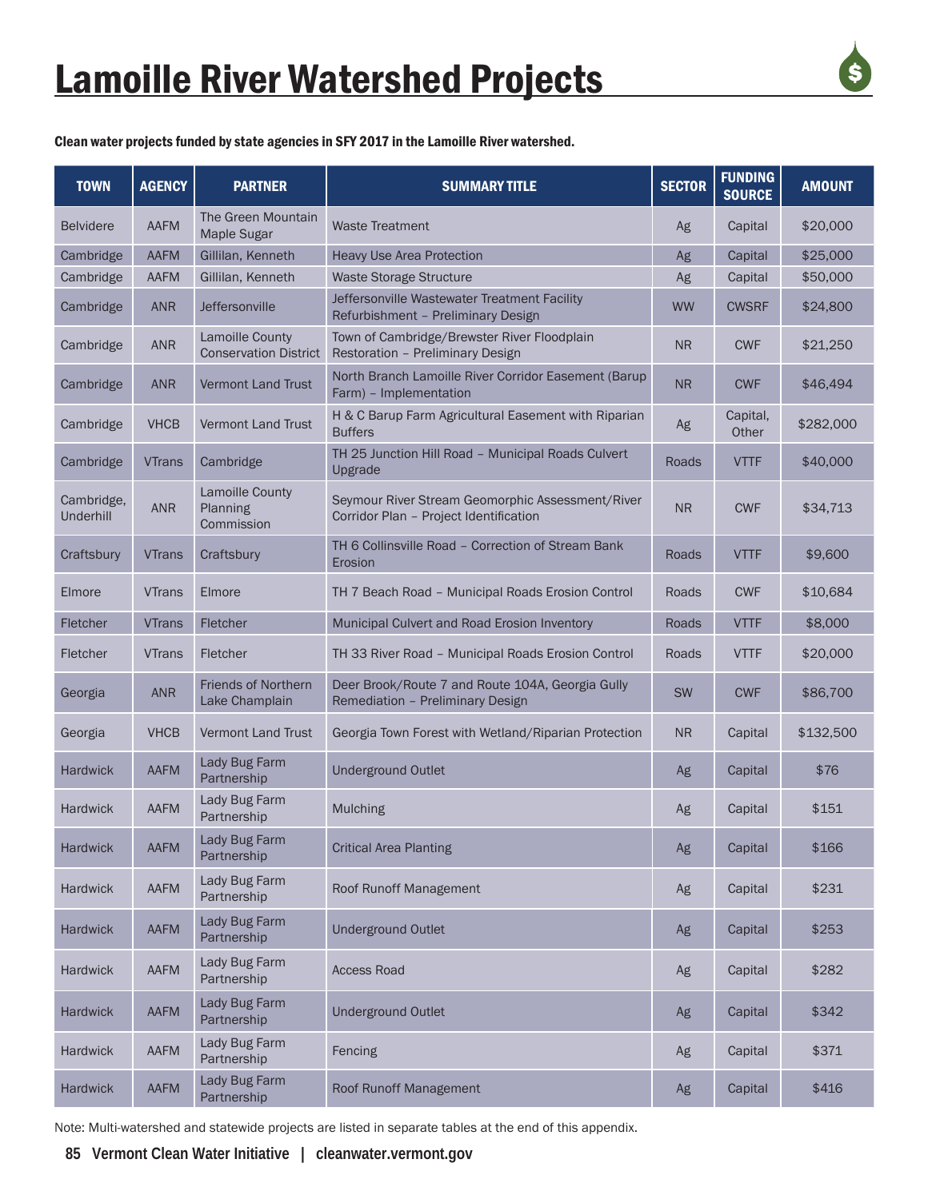

Clean water projects funded by state agencies in SFY 2017 in the Lamoille River watershed.

| <b>TOWN</b>             | <b>AGENCY</b> | <b>PARTNER</b>                                  | <b>SUMMARY TITLE</b>                                                                       | <b>SECTOR</b> | <b>FUNDING</b><br><b>SOURCE</b> | <b>AMOUNT</b> |
|-------------------------|---------------|-------------------------------------------------|--------------------------------------------------------------------------------------------|---------------|---------------------------------|---------------|
| <b>Belvidere</b>        | <b>AAFM</b>   | The Green Mountain<br>Maple Sugar               | <b>Waste Treatment</b>                                                                     | Ag            | Capital                         | \$20,000      |
| Cambridge               | AAFM          | Gillilan, Kenneth                               | <b>Heavy Use Area Protection</b>                                                           | Ag            | Capital                         | \$25,000      |
| Cambridge               | <b>AAFM</b>   | Gillilan, Kenneth                               | <b>Waste Storage Structure</b>                                                             | Ag            | Capital                         | \$50,000      |
| Cambridge               | <b>ANR</b>    | Jeffersonville                                  | Jeffersonville Wastewater Treatment Facility<br>Refurbishment - Preliminary Design         | <b>WW</b>     | <b>CWSRF</b>                    | \$24,800      |
| Cambridge               | <b>ANR</b>    | Lamoille County<br><b>Conservation District</b> | Town of Cambridge/Brewster River Floodplain<br>Restoration - Preliminary Design            | <b>NR</b>     | <b>CWF</b>                      | \$21,250      |
| Cambridge               | <b>ANR</b>    | <b>Vermont Land Trust</b>                       | North Branch Lamoille River Corridor Easement (Barup<br>Farm) - Implementation             | <b>NR</b>     | <b>CWF</b>                      | \$46,494      |
| Cambridge               | <b>VHCB</b>   | <b>Vermont Land Trust</b>                       | H & C Barup Farm Agricultural Easement with Riparian<br><b>Buffers</b>                     | Ag            | Capital,<br>Other               | \$282,000     |
| Cambridge               | <b>VTrans</b> | Cambridge                                       | TH 25 Junction Hill Road - Municipal Roads Culvert<br>Upgrade                              | Roads         | <b>VTTF</b>                     | \$40,000      |
| Cambridge,<br>Underhill | <b>ANR</b>    | Lamoille County<br>Planning<br>Commission       | Seymour River Stream Geomorphic Assessment/River<br>Corridor Plan - Project Identification | <b>NR</b>     | <b>CWF</b>                      | \$34,713      |
| Craftsbury              | <b>VTrans</b> | Craftsbury                                      | TH 6 Collinsville Road - Correction of Stream Bank<br>Erosion                              | Roads         | <b>VTTF</b>                     | \$9,600       |
| Elmore                  | <b>VTrans</b> | Elmore                                          | TH 7 Beach Road - Municipal Roads Erosion Control                                          | Roads         | <b>CWF</b>                      | \$10,684      |
| Fletcher                | <b>VTrans</b> | Fletcher                                        | Municipal Culvert and Road Erosion Inventory                                               | <b>Roads</b>  | <b>VTTF</b>                     | \$8,000       |
| Fletcher                | <b>VTrans</b> | Fletcher                                        | TH 33 River Road - Municipal Roads Erosion Control                                         | Roads         | <b>VTTF</b>                     | \$20,000      |
| Georgia                 | <b>ANR</b>    | <b>Friends of Northern</b><br>Lake Champlain    | Deer Brook/Route 7 and Route 104A, Georgia Gully<br>Remediation - Preliminary Design       | <b>SW</b>     | <b>CWF</b>                      | \$86,700      |
| Georgia                 | <b>VHCB</b>   | <b>Vermont Land Trust</b>                       | Georgia Town Forest with Wetland/Riparian Protection                                       | <b>NR</b>     | Capital                         | \$132,500     |
| <b>Hardwick</b>         | <b>AAFM</b>   | Lady Bug Farm<br>Partnership                    | <b>Underground Outlet</b>                                                                  | Ag            | Capital                         | \$76          |
| <b>Hardwick</b>         | AAFM          | Lady Bug Farm<br>Partnership                    | Mulching                                                                                   | Ag            | Capital                         | \$151         |
| <b>Hardwick</b>         | AAFM          | Lady Bug Farm<br>Partnership                    | <b>Critical Area Planting</b>                                                              | Ag            | Capital                         | \$166         |
| <b>Hardwick</b>         | AAFM          | Lady Bug Farm<br>Partnership                    | <b>Roof Runoff Management</b>                                                              | Ag            | Capital                         | \$231         |
| Hardwick                | AAFM          | Lady Bug Farm<br>Partnership                    | <b>Underground Outlet</b>                                                                  | Ag            | Capital                         | \$253         |
| <b>Hardwick</b>         | AAFM          | Lady Bug Farm<br>Partnership                    | <b>Access Road</b>                                                                         | Ag            | Capital                         | \$282         |
| Hardwick                | AAFM          | Lady Bug Farm<br>Partnership                    | <b>Underground Outlet</b>                                                                  | Ag            | Capital                         | \$342         |
| <b>Hardwick</b>         | AAFM          | Lady Bug Farm<br>Partnership                    | Fencing                                                                                    | Ag            | Capital                         | \$371         |
| Hardwick                | AAFM          | Lady Bug Farm<br>Partnership                    | Roof Runoff Management                                                                     | Ag            | Capital                         | \$416         |

Note: Multi-watershed and statewide projects are listed in separate tables at the end of this appendix.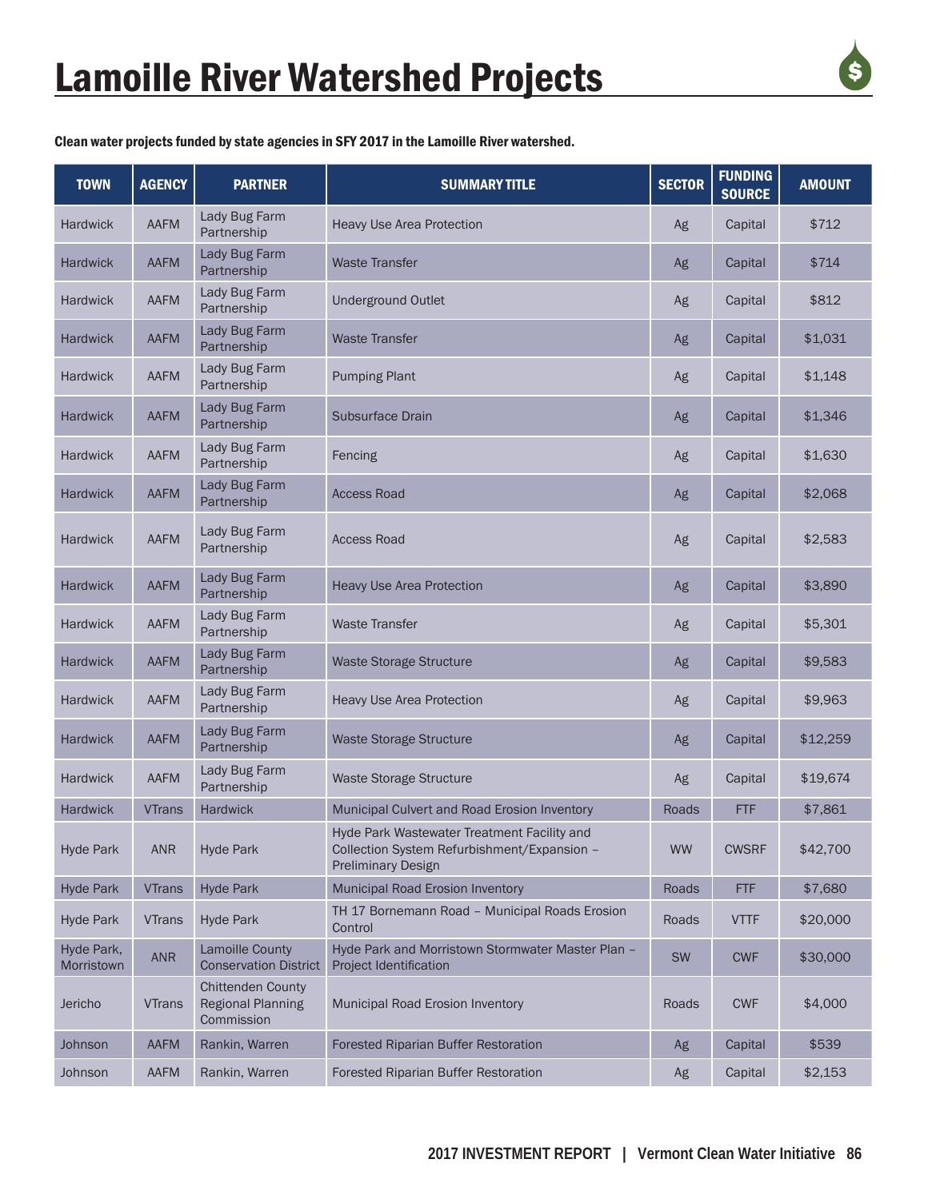

Clean water projects funded by state agencies in SFY 2017 in the Lamoille River watershed.

| <b>TOWN</b>              | <b>AGENCY</b> | <b>PARTNER</b>                                                     | <b>SUMMARY TITLE</b>                                                                                                    | <b>SECTOR</b> | <b>FUNDING</b><br><b>SOURCE</b> | <b>AMOUNT</b> |
|--------------------------|---------------|--------------------------------------------------------------------|-------------------------------------------------------------------------------------------------------------------------|---------------|---------------------------------|---------------|
| <b>Hardwick</b>          | AAFM          | Lady Bug Farm<br>Partnership                                       | Heavy Use Area Protection                                                                                               | Ag            | Capital                         | \$712         |
| <b>Hardwick</b>          | AAFM          | Lady Bug Farm<br>Partnership                                       | <b>Waste Transfer</b>                                                                                                   | Ag            | Capital                         | \$714         |
| <b>Hardwick</b>          | AAFM          | Lady Bug Farm<br>Partnership                                       | <b>Underground Outlet</b>                                                                                               | Ag            | Capital                         | \$812         |
| <b>Hardwick</b>          | AAFM          | Lady Bug Farm<br>Partnership                                       | <b>Waste Transfer</b>                                                                                                   | Ag            | Capital                         | \$1,031       |
| <b>Hardwick</b>          | <b>AAFM</b>   | Lady Bug Farm<br>Partnership                                       | <b>Pumping Plant</b>                                                                                                    | Ag            | Capital                         | \$1,148       |
| <b>Hardwick</b>          | <b>AAFM</b>   | Lady Bug Farm<br>Partnership                                       | <b>Subsurface Drain</b>                                                                                                 | Ag            | Capital                         | \$1,346       |
| <b>Hardwick</b>          | <b>AAFM</b>   | Lady Bug Farm<br>Partnership                                       | Fencing                                                                                                                 | Ag            | Capital                         | \$1,630       |
| <b>Hardwick</b>          | <b>AAFM</b>   | Lady Bug Farm<br>Partnership                                       | <b>Access Road</b>                                                                                                      | Ag            | Capital                         | \$2,068       |
| <b>Hardwick</b>          | <b>AAFM</b>   | Lady Bug Farm<br>Partnership                                       | <b>Access Road</b>                                                                                                      | Ag            | Capital                         | \$2,583       |
| <b>Hardwick</b>          | <b>AAFM</b>   | Lady Bug Farm<br>Partnership                                       | <b>Heavy Use Area Protection</b>                                                                                        | Ag            | Capital                         | \$3,890       |
| <b>Hardwick</b>          | <b>AAFM</b>   | Lady Bug Farm<br>Partnership                                       | <b>Waste Transfer</b>                                                                                                   | Ag            | Capital                         | \$5,301       |
| <b>Hardwick</b>          | AAFM          | Lady Bug Farm<br>Partnership                                       | <b>Waste Storage Structure</b>                                                                                          | Ag            | Capital                         | \$9,583       |
| <b>Hardwick</b>          | AAFM          | Lady Bug Farm<br>Partnership                                       | <b>Heavy Use Area Protection</b>                                                                                        | Ag            | Capital                         | \$9,963       |
| <b>Hardwick</b>          | <b>AAFM</b>   | Lady Bug Farm<br>Partnership                                       | <b>Waste Storage Structure</b>                                                                                          | Ag            | Capital                         | \$12,259      |
| <b>Hardwick</b>          | AAFM          | Lady Bug Farm<br>Partnership                                       | Waste Storage Structure                                                                                                 | Ag            | Capital                         | \$19,674      |
| <b>Hardwick</b>          | <b>VTrans</b> | <b>Hardwick</b>                                                    | Municipal Culvert and Road Erosion Inventory                                                                            | Roads         | <b>FTF</b>                      | \$7,861       |
| <b>Hyde Park</b>         | <b>ANR</b>    | <b>Hyde Park</b>                                                   | Hyde Park Wastewater Treatment Facility and<br>Collection System Refurbishment/Expansion -<br><b>Preliminary Design</b> | <b>WW</b>     | <b>CWSRF</b>                    | \$42,700      |
| <b>Hyde Park</b>         | <b>VTrans</b> | <b>Hyde Park</b>                                                   | Municipal Road Erosion Inventory                                                                                        | Roads         | <b>FTF</b>                      | \$7,680       |
| <b>Hyde Park</b>         | <b>VTrans</b> | <b>Hyde Park</b>                                                   | TH 17 Bornemann Road - Municipal Roads Erosion<br>Control                                                               | Roads         | <b>VTTF</b>                     | \$20,000      |
| Hyde Park,<br>Morristown | <b>ANR</b>    | <b>Lamoille County</b><br><b>Conservation District</b>             | Hyde Park and Morristown Stormwater Master Plan -<br>Project Identification                                             | SW            | <b>CWF</b>                      | \$30,000      |
| Jericho                  | <b>VTrans</b> | <b>Chittenden County</b><br><b>Regional Planning</b><br>Commission | Municipal Road Erosion Inventory                                                                                        | Roads         | <b>CWF</b>                      | \$4,000       |
| Johnson                  | AAFM          | Rankin, Warren                                                     | Forested Riparian Buffer Restoration                                                                                    | Ag            | Capital                         | \$539         |
| Johnson                  | AAFM          | Rankin, Warren                                                     | Forested Riparian Buffer Restoration                                                                                    | Ag            | Capital                         | \$2,153       |